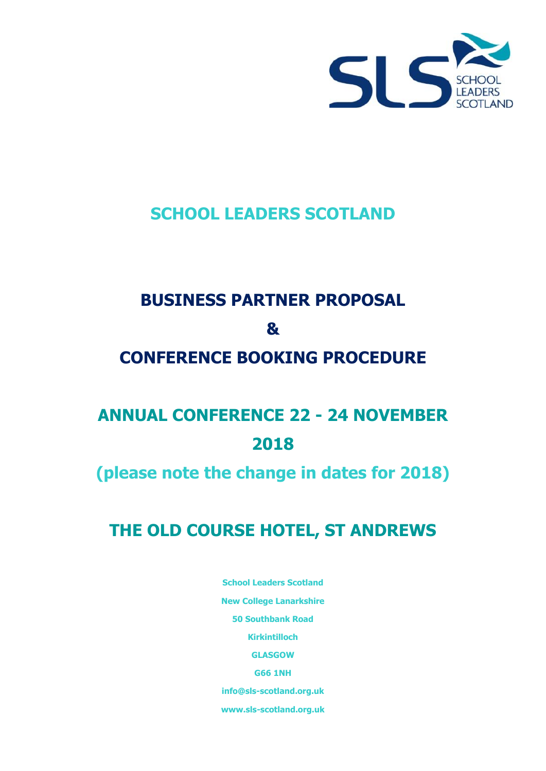

# **SCHOOL LEADERS SCOTLAND**

# **BUSINESS PARTNER PROPOSAL & CONFERENCE BOOKING PROCEDURE**

# **ANNUAL CONFERENCE 22 - 24 NOVEMBER 2018**

# **(please note the change in dates for 2018)**

# **THE OLD COURSE HOTEL, ST ANDREWS**

**School Leaders Scotland New College Lanarkshire 50 Southbank Road Kirkintilloch GLASGOW G66 1NH [info@sls-scotland.org.uk](mailto:info@sls-scotland.org.uk) www.sls-scotland.org.uk**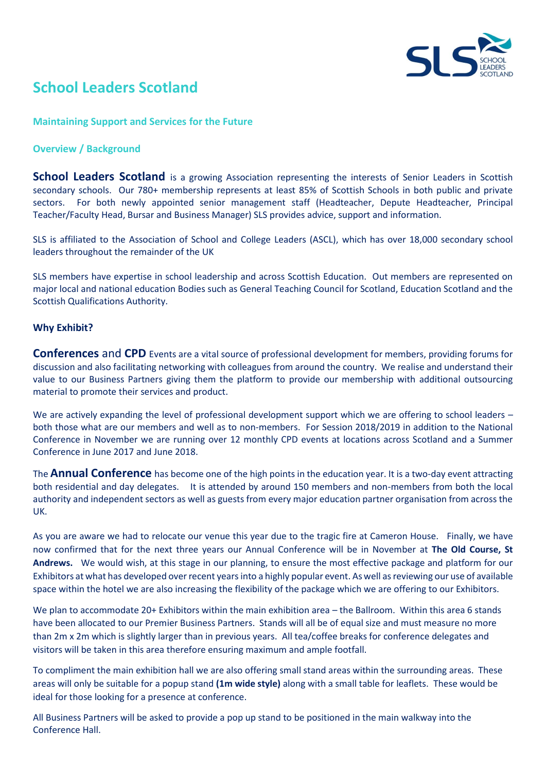

## **School Leaders Scotland**

#### **Maintaining Support and Services for the Future**

#### **Overview / Background**

**School Leaders Scotland** is a growing Association representing the interests of Senior Leaders in Scottish secondary schools. Our 780+ membership represents at least 85% of Scottish Schools in both public and private sectors. For both newly appointed senior management staff (Headteacher, Depute Headteacher, Principal Teacher/Faculty Head, Bursar and Business Manager) SLS provides advice, support and information.

SLS is affiliated to the Association of School and College Leaders (ASCL), which has over 18,000 secondary school leaders throughout the remainder of the UK

SLS members have expertise in school leadership and across Scottish Education. Out members are represented on major local and national education Bodies such as General Teaching Council for Scotland, Education Scotland and the Scottish Qualifications Authority.

#### **Why Exhibit?**

**Conferences** and **CPD** Events are a vital source of professional development for members, providing forums for discussion and also facilitating networking with colleagues from around the country. We realise and understand their value to our Business Partners giving them the platform to provide our membership with additional outsourcing material to promote their services and product.

We are actively expanding the level of professional development support which we are offering to school leaders – both those what are our members and well as to non-members. For Session 2018/2019 in addition to the National Conference in November we are running over 12 monthly CPD events at locations across Scotland and a Summer Conference in June 2017 and June 2018.

The **Annual Conference** has become one of the high points in the education year. It is a two-day event attracting both residential and day delegates. It is attended by around 150 members and non-members from both the local authority and independent sectors as well as guests from every major education partner organisation from across the UK.

As you are aware we had to relocate our venue this year due to the tragic fire at Cameron House. Finally, we have now confirmed that for the next three years our Annual Conference will be in November at **The Old Course, St Andrews.** We would wish, at this stage in our planning, to ensure the most effective package and platform for our Exhibitors at what has developed over recent years into a highly popular event. As well as reviewing our use of available space within the hotel we are also increasing the flexibility of the package which we are offering to our Exhibitors.

We plan to accommodate 20+ Exhibitors within the main exhibition area – the Ballroom. Within this area 6 stands have been allocated to our Premier Business Partners. Stands will all be of equal size and must measure no more than 2m x 2m which is slightly larger than in previous years. All tea/coffee breaks for conference delegates and visitors will be taken in this area therefore ensuring maximum and ample footfall.

To compliment the main exhibition hall we are also offering small stand areas within the surrounding areas. These areas will only be suitable for a popup stand **(1m wide style)** along with a small table for leaflets. These would be ideal for those looking for a presence at conference.

All Business Partners will be asked to provide a pop up stand to be positioned in the main walkway into the Conference Hall.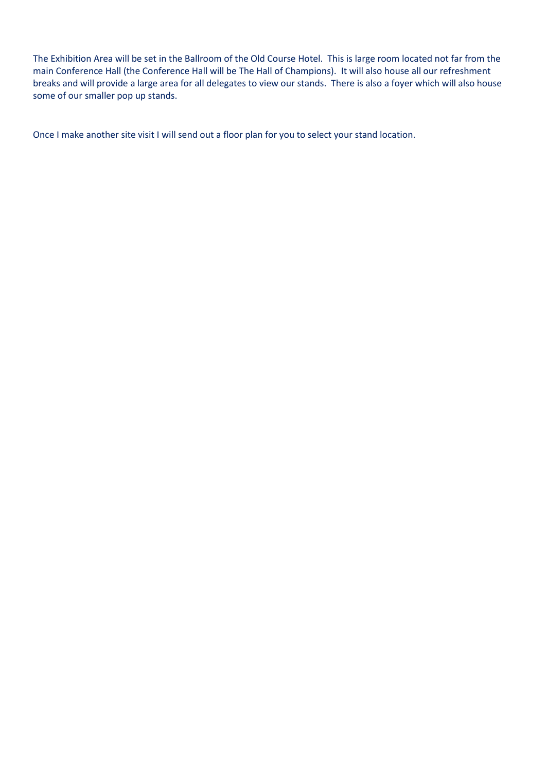The Exhibition Area will be set in the Ballroom of the Old Course Hotel. This is large room located not far from the main Conference Hall (the Conference Hall will be The Hall of Champions). It will also house all our refreshment breaks and will provide a large area for all delegates to view our stands. There is also a foyer which will also house some of our smaller pop up stands.

Once I make another site visit I will send out a floor plan for you to select your stand location.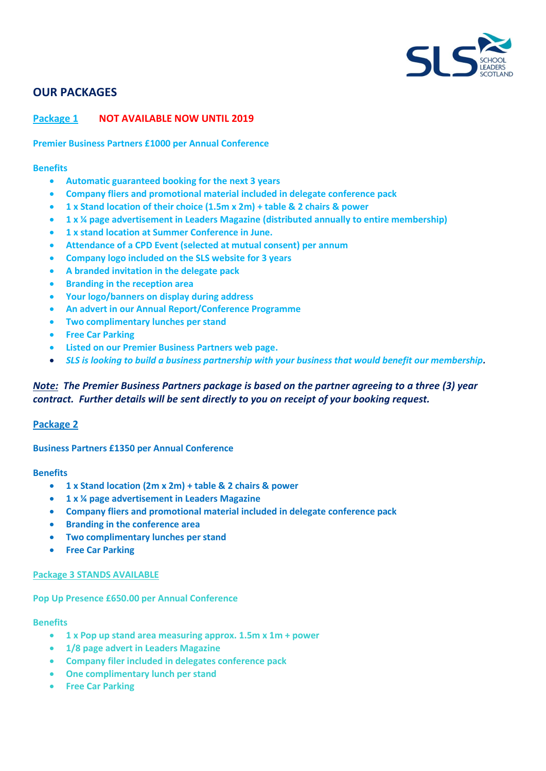

## **OUR PACKAGES**

#### **Package 1 NOT AVAILABLE NOW UNTIL 2019**

**Premier Business Partners £1000 per Annual Conference**

#### **Benefits**

- **Automatic guaranteed booking for the next 3 years**
- **Company fliers and promotional material included in delegate conference pack**
- **1 x Stand location of their choice (1.5m x 2m) + table & 2 chairs & power**
- **1 x ¼ page advertisement in Leaders Magazine (distributed annually to entire membership)**
- **1 x stand location at Summer Conference in June.**
- **Attendance of a CPD Event (selected at mutual consent) per annum**
- **Company logo included on the SLS website for 3 years**
- **A branded invitation in the delegate pack**
- **Branding in the reception area**
- **Your logo/banners on display during address**
- **An advert in our Annual Report/Conference Programme**
- **Two complimentary lunches per stand**
- **Free Car Parking**
- **Listed on our Premier Business Partners web page.**
- *SLS is looking to build a business partnership with your business that would benefit our membership.*

### *Note: The Premier Business Partners package is based on the partner agreeing to a three (3) year contract. Further details will be sent directly to you on receipt of your booking request.*

#### **Package 2**

#### **Business Partners £1350 per Annual Conference**

#### **Benefits**

- **1 x Stand location (2m x 2m) + table & 2 chairs & power**
- **1 x ¼ page advertisement in Leaders Magazine**
- **Company fliers and promotional material included in delegate conference pack**
- **Branding in the conference area**
- **Two complimentary lunches per stand**
- **Free Car Parking**

#### **Package 3 STANDS AVAILABLE**

#### **Pop Up Presence £650.00 per Annual Conference**

#### **Benefits**

- **1 x Pop up stand area measuring approx. 1.5m x 1m + power**
- **1/8 page advert in Leaders Magazine**
- **Company filer included in delegates conference pack**
- **One complimentary lunch per stand**
- **Free Car Parking**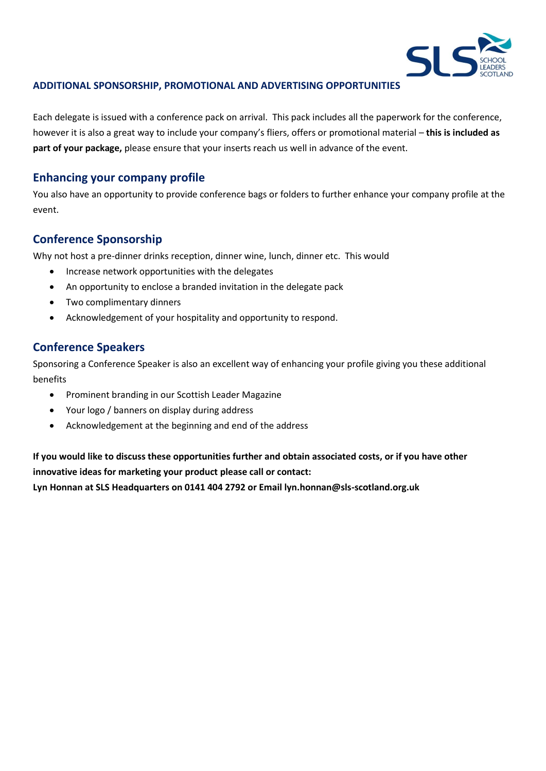

#### **ADDITIONAL SPONSORSHIP, PROMOTIONAL AND ADVERTISING OPPORTUNITIES**

Each delegate is issued with a conference pack on arrival. This pack includes all the paperwork for the conference, however it is also a great way to include your company's fliers, offers or promotional material – **this is included as part of your package,** please ensure that your inserts reach us well in advance of the event.

### **Enhancing your company profile**

You also have an opportunity to provide conference bags or folders to further enhance your company profile at the event.

### **Conference Sponsorship**

Why not host a pre-dinner drinks reception, dinner wine, lunch, dinner etc. This would

- Increase network opportunities with the delegates
- An opportunity to enclose a branded invitation in the delegate pack
- Two complimentary dinners
- Acknowledgement of your hospitality and opportunity to respond.

### **Conference Speakers**

Sponsoring a Conference Speaker is also an excellent way of enhancing your profile giving you these additional benefits

- Prominent branding in our Scottish Leader Magazine
- Your logo / banners on display during address
- Acknowledgement at the beginning and end of the address

**If you would like to discuss these opportunities further and obtain associated costs, or if you have other innovative ideas for marketing your product please call or contact:**

**Lyn Honnan at SLS Headquarters on 0141 404 2792 or Email lyn.honnan@sls-scotland.org.uk**